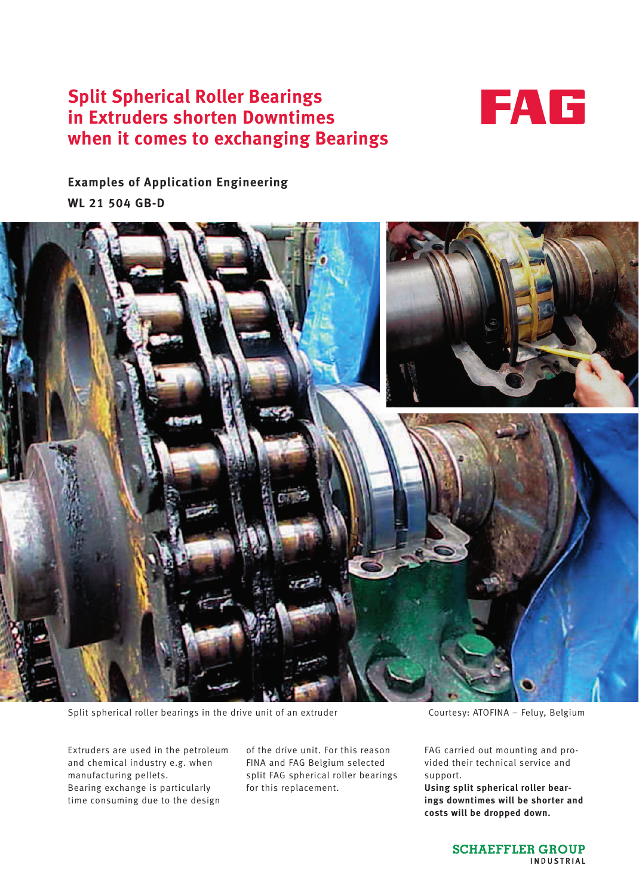# **Split Spherical Roller Bearings in Extruders shorten Downtimes when it comes to exchanging Bearings**



**Examples of Application Engineering WL 21 504 GB-D**



Split spherical roller bearings in the drive unit of an extruder Courtesy: ATOFINA – Feluy, Belgium

Extruders are used in the petroleum and chemical industry e.g. when manufacturing pellets. Bearing exchange is particularly time consuming due to the design

of the drive unit. For this reason FINA and FAG Belgium selected split FAG spherical roller bearings for this replacement.

FAG carried out mounting and provided their technical service and support.

**Using split spherical roller bearings downtimes will be shorter and costs will be dropped down.**